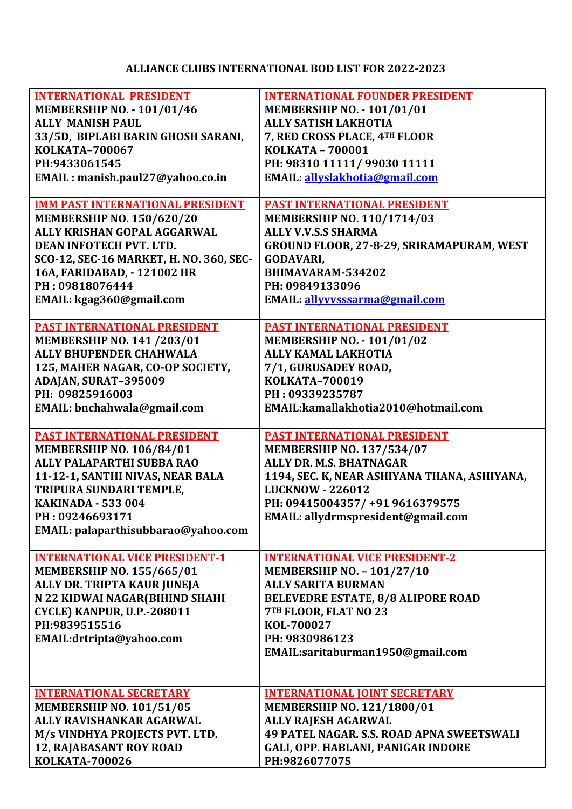## **ALLIANCE CLUBS INTERNATIONAL BOD LIST FOR 2022-2023**

| <b>INTERNATIONAL PRESIDENT</b>          | <b>INTERNATIONAL FOUNDER PRESIDENT</b>           |
|-----------------------------------------|--------------------------------------------------|
| <b>MEMBERSHIP NO. - 101/01/46</b>       | <b>MEMBERSHIP NO. - 101/01/01</b>                |
| <b>ALLY MANISH PAUL</b>                 | <b>ALLY SATISH LAKHOTIA</b>                      |
| 33/5D, BIPLABI BARIN GHOSH SARANI,      | 7, RED CROSS PLACE, 4TH FLOOR                    |
| KOLKATA-700067                          | <b>KOLKATA - 700001</b>                          |
| PH:9433061545                           | PH: 98310 11111/ 99030 11111                     |
|                                         | EMAIL: allyslakhotia@gmail.com                   |
| EMAIL: manish.paul27@yahoo.co.in        |                                                  |
| <b>IMM PAST INTERNATIONAL PRESIDENT</b> | <b>PAST INTERNATIONAL PRESIDENT</b>              |
| <b>MEMBERSHIP NO. 150/620/20</b>        | MEMBERSHIP NO. 110/1714/03                       |
| ALLY KRISHAN GOPAL AGGARWAL             | <b>ALLY V.V.S.S SHARMA</b>                       |
| DEAN INFOTECH PVT. LTD.                 | GROUND FLOOR, 27-8-29, SRIRAMAPURAM, WEST        |
| SCO-12, SEC-16 MARKET, H. NO. 360, SEC- | <b>GODAVARI,</b>                                 |
| 16A, FARIDABAD, - 121002 HR             | BHIMAVARAM-534202                                |
| PH: 09818076444                         | PH: 09849133096                                  |
| EMAIL: kgag360@gmail.com                | EMAIL: allyvysssarma@gmail.com                   |
|                                         |                                                  |
| <b>PAST INTERNATIONAL PRESIDENT</b>     | <b>PAST INTERNATIONAL PRESIDENT</b>              |
| <b>MEMBERSHIP NO. 141 /203/01</b>       | <b>MEMBERSHIP NO. - 101/01/02</b>                |
| <b>ALLY BHUPENDER CHAHWALA</b>          | <b>ALLY KAMAL LAKHOTIA</b>                       |
| 125, MAHER NAGAR, CO-OP SOCIETY,        | 7/1, GURUSADEY ROAD,                             |
| ADAJAN, SURAT-395009                    | <b>KOLKATA-700019</b>                            |
| PH: 09825916003                         | PH: 09339235787                                  |
| EMAIL: bnchahwala@gmail.com             | EMAIL:kamallakhotia2010@hotmail.com              |
|                                         |                                                  |
| <b>PAST INTERNATIONAL PRESIDENT</b>     | <b>PAST INTERNATIONAL PRESIDENT</b>              |
| <b>MEMBERSHIP NO. 106/84/01</b>         | <b>MEMBERSHIP NO. 137/534/07</b>                 |
| <b>ALLY PALAPARTHI SUBBA RAO</b>        | ALLY DR. M.S. BHATNAGAR                          |
| 11-12-1, SANTHI NIVAS, NEAR BALA        | 1194, SEC. K, NEAR ASHIYANA THANA, ASHIYANA,     |
| <b>TRIPURA SUNDARI TEMPLE,</b>          | <b>LUCKNOW - 226012</b>                          |
| <b>KAKINADA - 533 004</b>               | PH: 09415004357/+919616379575                    |
| PH: 09246693171                         | EMAIL: allydrmspresident@gmail.com               |
| EMAIL: palaparthisubbarao@yahoo.com     |                                                  |
|                                         |                                                  |
| <b>INTERNATIONAL VICE PRESIDENT-1</b>   | <b>INTERNATIONAL VICE PRESIDENT-2</b>            |
| <b>MEMBERSHIP NO. 155/665/01</b>        | <b>MEMBERSHIP NO. - 101/27/10</b>                |
| ALLY DR. TRIPTA KAUR JUNEJA             | <b>ALLY SARITA BURMAN</b>                        |
| N 22 KIDWAI NAGAR(BIHIND SHAHI          | <b>BELEVEDRE ESTATE, 8/8 ALIPORE ROAD</b>        |
| CYCLE) KANPUR, U.P.-208011              | 7TH FLOOR, FLAT NO 23                            |
| PH:9839515516                           | KOL-700027                                       |
| EMAIL:drtripta@yahoo.com                | PH: 9830986123                                   |
|                                         | EMAIL:saritaburman1950@gmail.com                 |
|                                         |                                                  |
|                                         |                                                  |
| <b>INTERNATIONAL SECRETARY</b>          | <b>INTERNATIONAL JOINT SECRETARY</b>             |
| <b>MEMBERSHIP NO. 101/51/05</b>         | MEMBERSHIP NO. 121/1800/01                       |
| ALLY RAVISHANKAR AGARWAL                | <b>ALLY RAJESH AGARWAL</b>                       |
| M/s VINDHYA PROJECTS PVT. LTD.          | <b>49 PATEL NAGAR. S.S. ROAD APNA SWEETSWALI</b> |
| <b>12, RAJABASANT ROY ROAD</b>          | GALI, OPP. HABLANI, PANIGAR INDORE               |
| <b>KOLKATA-700026</b>                   | PH:9826077075                                    |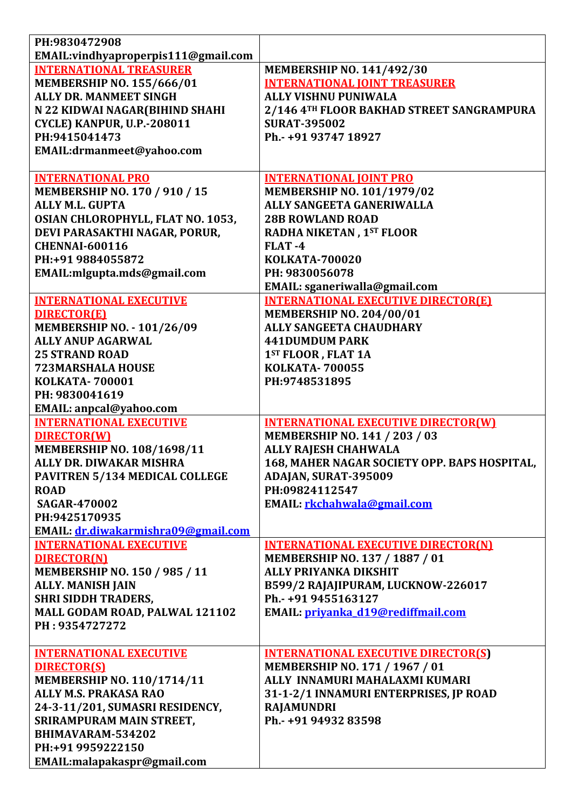| PH:9830472908                                          |                                                           |
|--------------------------------------------------------|-----------------------------------------------------------|
| EMAIL: vindhyaproperpis111@gmail.com                   |                                                           |
| <b>INTERNATIONAL TREASURER</b>                         | <b>MEMBERSHIP NO. 141/492/30</b>                          |
| <b>MEMBERSHIP NO. 155/666/01</b>                       | <b>INTERNATIONAL JOINT TREASURER</b>                      |
| <b>ALLY DR. MANMEET SINGH</b>                          | <b>ALLY VISHNU PUNIWALA</b>                               |
| N 22 KIDWAI NAGAR(BIHIND SHAHI                         | 2/146 4TH FLOOR BAKHAD STREET SANGRAMPURA                 |
| <b>CYCLE) KANPUR, U.P.-208011</b>                      | <b>SURAT-395002</b>                                       |
| PH:9415041473                                          | Ph.- +91 93747 18927                                      |
| EMAIL:drmanmeet@yahoo.com                              |                                                           |
| <b>INTERNATIONAL PRO</b>                               | <b>INTERNATIONAL JOINT PRO</b>                            |
| <b>MEMBERSHIP NO. 170 / 910 / 15</b>                   | <b>MEMBERSHIP NO. 101/1979/02</b>                         |
| <b>ALLY M.L. GUPTA</b>                                 | ALLY SANGEETA GANERIWALLA                                 |
| OSIAN CHLOROPHYLL, FLAT NO. 1053,                      | <b>28B ROWLAND ROAD</b>                                   |
| DEVI PARASAKTHI NAGAR, PORUR,                          | RADHA NIKETAN, 1ST FLOOR                                  |
| <b>CHENNAI-600116</b>                                  | FLAT-4                                                    |
| PH:+91 9884055872                                      | <b>KOLKATA-700020</b>                                     |
| EMAIL: mlgupta.mds@gmail.com                           | PH: 9830056078                                            |
|                                                        | EMAIL: sganeriwalla@gmail.com                             |
| <b>INTERNATIONAL EXECUTIVE</b>                         | <b>INTERNATIONAL EXECUTIVE DIRECTOR(E)</b>                |
| <b>DIRECTOR(E)</b>                                     | <b>MEMBERSHIP NO. 204/00/01</b>                           |
| <b>MEMBERSHIP NO. - 101/26/09</b>                      | <b>ALLY SANGEETA CHAUDHARY</b>                            |
| <b>ALLY ANUP AGARWAL</b>                               | <b>441DUMDUM PARK</b>                                     |
| <b>25 STRAND ROAD</b>                                  | 1ST FLOOR, FLAT 1A                                        |
| <b>723MARSHALA HOUSE</b>                               | <b>KOLKATA-700055</b>                                     |
| <b>KOLKATA-700001</b>                                  | PH:9748531895                                             |
| PH: 9830041619                                         |                                                           |
| EMAIL: anpcal@yahoo.com                                |                                                           |
| <b>INTERNATIONAL EXECUTIVE</b>                         | <b>INTERNATIONAL EXECUTIVE DIRECTOR(W)</b>                |
| <b>DIRECTOR(W)</b>                                     | MEMBERSHIP NO. 141 / 203 / 03                             |
| <b>MEMBERSHIP NO. 108/1698/11</b>                      | <b>ALLY RAJESH CHAHWALA</b>                               |
| ALLY DR. DIWAKAR MISHRA                                | <b>168. MAHER NAGAR SOCIETY OPP. BAPS HOSPITAL.</b>       |
| PAVITREN 5/134 MEDICAL COLLEGE                         | ADAJAN, SURAT-395009                                      |
| <b>ROAD</b>                                            | PH:09824112547                                            |
| <b>SAGAR-470002</b>                                    | EMAIL: rkchahwala@gmail.com                               |
| PH:9425170935                                          |                                                           |
| EMAIL: dr.diwakarmishra09@gmail.com                    |                                                           |
| <b>INTERNATIONAL EXECUTIVE</b>                         | <b>INTERNATIONAL EXECUTIVE DIRECTOR(N)</b>                |
| <b>DIRECTOR(N)</b>                                     | MEMBERSHIP NO. 137 / 1887 / 01                            |
| MEMBERSHIP NO. 150 / 985 / 11                          | <b>ALLY PRIYANKA DIKSHIT</b>                              |
| <b>ALLY. MANISH JAIN</b><br><b>SHRI SIDDH TRADERS,</b> | B599/2 RAJAJIPURAM, LUCKNOW-226017<br>Ph.- +91 9455163127 |
| MALL GODAM ROAD, PALWAL 121102                         |                                                           |
| PH: 9354727272                                         | <b>EMAIL: privanka d19@rediffmail.com</b>                 |
|                                                        |                                                           |
| <b>INTERNATIONAL EXECUTIVE</b>                         | <b>INTERNATIONAL EXECUTIVE DIRECTOR(S)</b>                |
| <b>DIRECTOR(S)</b>                                     | MEMBERSHIP NO. 171 / 1967 / 01                            |
| MEMBERSHIP NO. 110/1714/11                             | ALLY INNAMURI MAHALAXMI KUMARI                            |
| <b>ALLY M.S. PRAKASA RAO</b>                           | 31-1-2/1 INNAMURI ENTERPRISES, JP ROAD                    |
| 24-3-11/201, SUMASRI RESIDENCY,                        | <b>RAJAMUNDRI</b>                                         |
| SRIRAMPURAM MAIN STREET,                               | Ph.- +91 94932 83598                                      |
| BHIMAVARAM-534202                                      |                                                           |
| PH:+91 9959222150                                      |                                                           |
| EMAIL:malapakaspr@gmail.com                            |                                                           |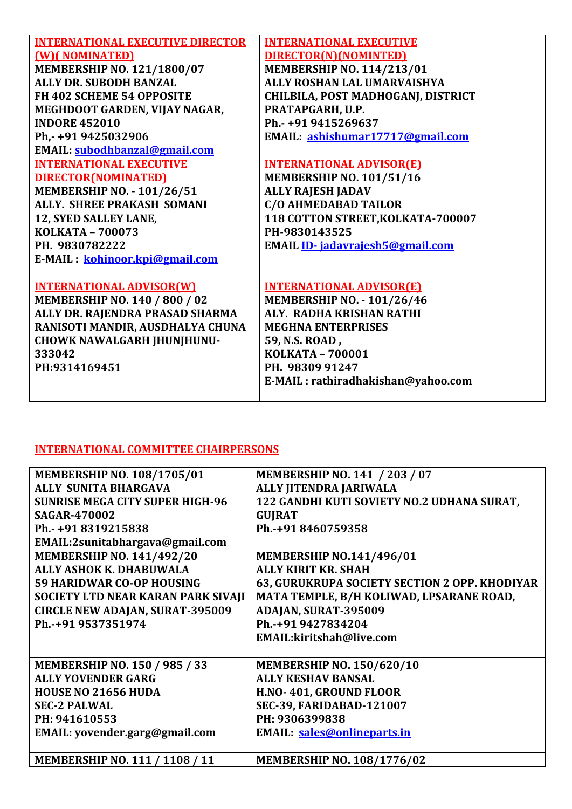| <b>INTERNATIONAL EXECUTIVE DIRECTOR</b> | <b>INTERNATIONAL EXECUTIVE</b>     |
|-----------------------------------------|------------------------------------|
| (W) (NOMINATED)                         | DIRECTOR(N)(NOMINTED)              |
| MEMBERSHIP NO. 121/1800/07              | <b>MEMBERSHIP NO. 114/213/01</b>   |
| <b>ALLY DR. SUBODH BANZAL</b>           | ALLY ROSHAN LAL UMARVAISHYA        |
| FH 402 SCHEME 54 OPPOSITE               | CHILBILA, POST MADHOGANJ, DISTRICT |
| MEGHDOOT GARDEN, VIJAY NAGAR,           | PRATAPGARH, U.P.                   |
| <b>INDORE 452010</b>                    | Ph.- +91 9415269637                |
| Ph,-+91 9425032906                      | EMAIL: ashishumar17717@gmail.com   |
| EMAIL: subodhbanzal@gmail.com           |                                    |
| <b>INTERNATIONAL EXECUTIVE</b>          | <b>INTERNATIONAL ADVISOR(E)</b>    |
| DIRECTOR(NOMINATED)                     | <b>MEMBERSHIP NO. 101/51/16</b>    |
| <b>MEMBERSHIP NO. - 101/26/51</b>       | <b>ALLY RAJESH JADAV</b>           |
| <b>ALLY. SHREE PRAKASH SOMANI</b>       | C/O AHMEDABAD TAILOR               |
| 12, SYED SALLEY LANE,                   | 118 COTTON STREET, KOLKATA-700007  |
| KOLKATA - 700073                        | PH-9830143525                      |
| PH. 9830782222                          | EMAIL ID-jadavrajesh5@gmail.com    |
| E-MAIL: kohinoor.kpi@gmail.com          |                                    |
|                                         |                                    |
| <b>INTERNATIONAL ADVISOR(W)</b>         | <b>INTERNATIONAL ADVISOR(E)</b>    |
| <b>MEMBERSHIP NO. 140 / 800 / 02</b>    | <b>MEMBERSHIP NO. - 101/26/46</b>  |
| ALLY DR. RAJENDRA PRASAD SHARMA         | ALY. RADHA KRISHAN RATHI           |
| RANISOTI MANDIR, AUSDHALYA CHUNA        | <b>MEGHNA ENTERPRISES</b>          |
| <b>CHOWK NAWALGARH JHUNJHUNU-</b>       | 59, N.S. ROAD,                     |
| 333042                                  | <b>KOLKATA - 700001</b>            |
| PH:9314169451                           | PH. 98309 91247                    |
|                                         | E-MAIL: rathiradhakishan@yahoo.com |
|                                         |                                    |

## **INTERNATIONAL COMMITTEE CHAIRPERSONS**

| <b>MEMBERSHIP NO. 108/1705/01</b>      | <b>MEMBERSHIP NO. 141 / 203 / 07</b>          |
|----------------------------------------|-----------------------------------------------|
| <b>ALLY SUNITA BHARGAVA</b>            | ALLY JITENDRA JARIWALA                        |
| <b>SUNRISE MEGA CITY SUPER HIGH-96</b> | 122 GANDHI KUTI SOVIETY NO.2 UDHANA SURAT,    |
| <b>SAGAR-470002</b>                    | <b>GUJRAT</b>                                 |
| Ph.- +91 8319215838                    | Ph.-+91 8460759358                            |
| EMAIL:2sunitabhargava@gmail.com        |                                               |
| <b>MEMBERSHIP NO. 141/492/20</b>       | <b>MEMBERSHIP NO.141/496/01</b>               |
| ALLY ASHOK K. DHABUWALA                | <b>ALLY KIRIT KR. SHAH</b>                    |
| <b>59 HARIDWAR CO-OP HOUSING</b>       | 63, GURUKRUPA SOCIETY SECTION 2 OPP. KHODIYAR |
| SOCIETY LTD NEAR KARAN PARK SIVAJI     | MATA TEMPLE, B/H KOLIWAD, LPSARANE ROAD,      |
| <b>CIRCLE NEW ADAJAN, SURAT-395009</b> | ADAJAN, SURAT-395009                          |
| Ph.-+91 9537351974                     | Ph.-+91 9427834204                            |
|                                        | EMAIL:kiritshah@live.com                      |
|                                        |                                               |
| <b>MEMBERSHIP NO. 150 / 985 / 33</b>   | <b>MEMBERSHIP NO. 150/620/10</b>              |
| <b>ALLY YOVENDER GARG</b>              | <b>ALLY KESHAV BANSAL</b>                     |
| <b>HOUSE NO 21656 HUDA</b>             | H.NO-401, GROUND FLOOR                        |
| <b>SEC-2 PALWAL</b>                    | <b>SEC-39, FARIDABAD-121007</b>               |
| PH: 941610553                          | PH: 9306399838                                |
| EMAIL: yovender.garg@gmail.com         | <b>EMAIL:</b> sales@onlineparts.in            |
|                                        |                                               |
| <b>MEMBERSHIP NO. 111 / 1108 / 11</b>  | <b>MEMBERSHIP NO. 108/1776/02</b>             |
|                                        |                                               |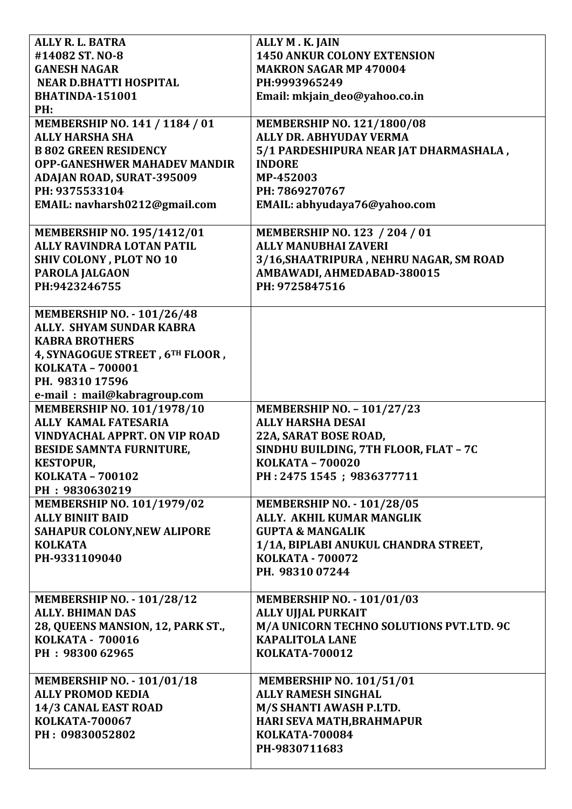| ALLY R. L. BATRA                                           | ALLY M. K. JAIN                          |
|------------------------------------------------------------|------------------------------------------|
| #14082 ST. NO-8                                            | <b>1450 ANKUR COLONY EXTENSION</b>       |
| <b>GANESH NAGAR</b>                                        | <b>MAKRON SAGAR MP 470004</b>            |
| <b>NEAR D.BHATTI HOSPITAL</b>                              | PH:9993965249                            |
| BHATINDA-151001                                            | Email: mkjain_deo@yahoo.co.in            |
| PH:                                                        |                                          |
| <b>MEMBERSHIP NO. 141 / 1184 / 01</b>                      | <b>MEMBERSHIP NO. 121/1800/08</b>        |
| <b>ALLY HARSHA SHA</b>                                     | ALLY DR. ABHYUDAY VERMA                  |
| <b>B 802 GREEN RESIDENCY</b>                               | 5/1 PARDESHIPURA NEAR JAT DHARMASHALA,   |
| <b>OPP-GANESHWER MAHADEV MANDIR</b>                        | <b>INDORE</b>                            |
| ADAJAN ROAD, SURAT-395009                                  | MP-452003                                |
| PH: 9375533104                                             | PH: 7869270767                           |
| EMAIL: navharsh0212@gmail.com                              | EMAIL: abhyudaya76@yahoo.com             |
|                                                            |                                          |
| MEMBERSHIP NO. 195/1412/01                                 | <b>MEMBERSHIP NO. 123 / 204 / 01</b>     |
| ALLY RAVINDRA LOTAN PATIL                                  | <b>ALLY MANUBHAI ZAVERI</b>              |
| <b>SHIV COLONY, PLOT NO 10</b>                             | 3/16, SHAATRIPURA, NEHRU NAGAR, SM ROAD  |
| PAROLA JALGAON                                             | AMBAWADI, AHMEDABAD-380015               |
| PH:9423246755                                              | PH: 9725847516                           |
|                                                            |                                          |
| <b>MEMBERSHIP NO. - 101/26/48</b>                          |                                          |
| ALLY. SHYAM SUNDAR KABRA                                   |                                          |
| <b>KABRA BROTHERS</b>                                      |                                          |
|                                                            |                                          |
| 4, SYNAGOGUE STREET, 6TH FLOOR,<br><b>KOLKATA - 700001</b> |                                          |
|                                                            |                                          |
| PH. 98310 17596                                            |                                          |
| e-mail: mail@kabragroup.com                                |                                          |
| MEMBERSHIP NO. 101/1978/10                                 | <b>MEMBERSHIP NO. - 101/27/23</b>        |
| <b>ALLY KAMAL FATESARIA</b>                                | <b>ALLY HARSHA DESAI</b>                 |
| <b>VINDYACHAL APPRT. ON VIP ROAD</b>                       | 22A, SARAT BOSE ROAD,                    |
| <b>BESIDE SAMNTA FURNITURE,</b>                            | SINDHU BUILDING, 7TH FLOOR, FLAT - 7C    |
| <b>KESTOPUR,</b>                                           | <b>KOLKATA - 700020</b>                  |
| <b>KOLKATA - 700102</b>                                    | PH: 2475 1545; 9836377711                |
| PH: 9830630219                                             |                                          |
| MEMBERSHIP NO. 101/1979/02                                 | <b>MEMBERSHIP NO. - 101/28/05</b>        |
| <b>ALLY BINIIT BAID</b>                                    | ALLY. AKHIL KUMAR MANGLIK                |
| <b>SAHAPUR COLONY, NEW ALIPORE</b>                         | <b>GUPTA &amp; MANGALIK</b>              |
| <b>KOLKATA</b>                                             | 1/1A, BIPLABI ANUKUL CHANDRA STREET,     |
| PH-9331109040                                              | <b>KOLKATA - 700072</b>                  |
|                                                            | PH. 98310 07244                          |
|                                                            |                                          |
| <b>MEMBERSHIP NO. - 101/28/12</b>                          | <b>MEMBERSHIP NO. - 101/01/03</b>        |
| <b>ALLY. BHIMAN DAS</b>                                    | <b>ALLY UJJAL PURKAIT</b>                |
| 28, QUEENS MANSION, 12, PARK ST.,                          | M/A UNICORN TECHNO SOLUTIONS PVT.LTD. 9C |
| <b>KOLKATA - 700016</b>                                    | <b>KAPALITOLA LANE</b>                   |
| PH: 98300 62965                                            | <b>KOLKATA-700012</b>                    |
|                                                            |                                          |
| <b>MEMBERSHIP NO. - 101/01/18</b>                          | <b>MEMBERSHIP NO. 101/51/01</b>          |
| <b>ALLY PROMOD KEDIA</b>                                   | <b>ALLY RAMESH SINGHAL</b>               |
| 14/3 CANAL EAST ROAD                                       | M/S SHANTI AWASH P.LTD.                  |
| <b>KOLKATA-700067</b>                                      |                                          |
|                                                            | HARI SEVA MATH, BRAHMAPUR                |
| PH: 09830052802                                            | <b>KOLKATA-700084</b>                    |
|                                                            | PH-9830711683                            |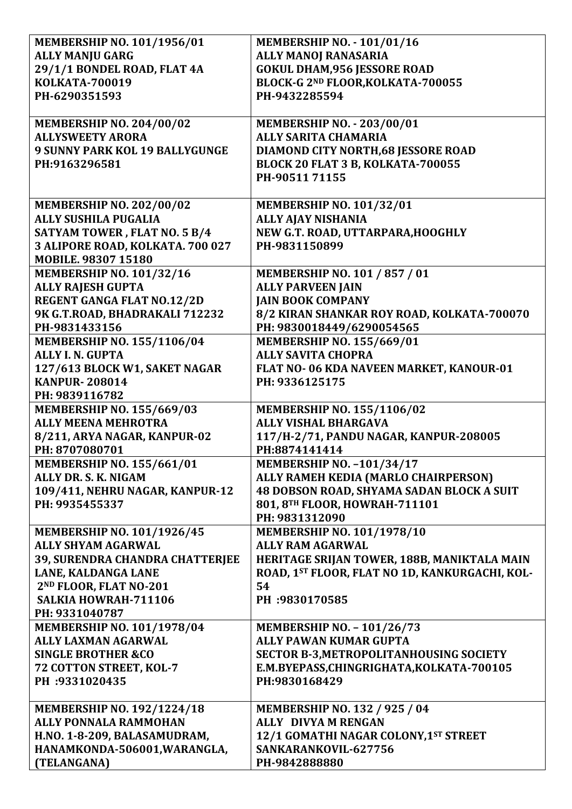| MEMBERSHIP NO. 101/1956/01                                        | <b>MEMBERSHIP NO. - 101/01/16</b>                                  |
|-------------------------------------------------------------------|--------------------------------------------------------------------|
| <b>ALLY MANJU GARG</b>                                            | <b>ALLY MANOJ RANASARIA</b>                                        |
| 29/1/1 BONDEL ROAD, FLAT 4A                                       | <b>GOKUL DHAM, 956 JESSORE ROAD</b>                                |
| <b>KOLKATA-700019</b>                                             | BLOCK-G 2ND FLOOR, KOLKATA-700055                                  |
| PH-6290351593                                                     | PH-9432285594                                                      |
|                                                                   |                                                                    |
| <b>MEMBERSHIP NO. 204/00/02</b>                                   | <b>MEMBERSHIP NO. - 203/00/01</b>                                  |
| <b>ALLYSWEETY ARORA</b>                                           | <b>ALLY SARITA CHAMARIA</b>                                        |
| <b>9 SUNNY PARK KOL 19 BALLYGUNGE</b>                             | <b>DIAMOND CITY NORTH, 68 JESSORE ROAD</b>                         |
| PH:9163296581                                                     | BLOCK 20 FLAT 3 B, KOLKATA-700055                                  |
|                                                                   | PH-90511 71155                                                     |
|                                                                   |                                                                    |
| <b>MEMBERSHIP NO. 202/00/02</b>                                   | <b>MEMBERSHIP NO. 101/32/01</b>                                    |
| <b>ALLY SUSHILA PUGALIA</b>                                       | <b>ALLY AJAY NISHANIA</b>                                          |
| SATYAM TOWER, FLAT NO. 5 B/4                                      | NEW G.T. ROAD, UTTARPARA, HOOGHLY                                  |
| 3 ALIPORE ROAD, KOLKATA. 700 027                                  | PH-9831150899                                                      |
| MOBILE. 98307 15180                                               |                                                                    |
| <b>MEMBERSHIP NO. 101/32/16</b>                                   | <b>MEMBERSHIP NO. 101 / 857 / 01</b>                               |
| <b>ALLY RAJESH GUPTA</b>                                          | <b>ALLY PARVEEN JAIN</b>                                           |
| <b>REGENT GANGA FLAT NO.12/2D</b>                                 | <b>JAIN BOOK COMPANY</b>                                           |
| 9K G.T.ROAD, BHADRAKALI 712232                                    | 8/2 KIRAN SHANKAR ROY ROAD, KOLKATA-700070                         |
| PH-9831433156                                                     | PH: 9830018449/6290054565                                          |
| MEMBERSHIP NO. 155/1106/04                                        | <b>MEMBERSHIP NO. 155/669/01</b>                                   |
| <b>ALLY I. N. GUPTA</b>                                           | <b>ALLY SAVITA CHOPRA</b>                                          |
| 127/613 BLOCK W1, SAKET NAGAR                                     | FLAT NO- 06 KDA NAVEEN MARKET, KANOUR-01                           |
| <b>KANPUR-208014</b>                                              | PH: 9336125175                                                     |
| PH: 9839116782                                                    |                                                                    |
| <b>MEMBERSHIP NO. 155/669/03</b>                                  | MEMBERSHIP NO. 155/1106/02                                         |
| <b>ALLY MEENA MEHROTRA</b>                                        | <b>ALLY VISHAL BHARGAVA</b>                                        |
| 8/211, ARYA NAGAR, KANPUR-02                                      | 117/H-2/71, PANDU NAGAR, KANPUR-208005                             |
| PH: 8707080701                                                    | PH:8874141414                                                      |
|                                                                   |                                                                    |
|                                                                   |                                                                    |
| <b>MEMBERSHIP NO. 155/661/01</b>                                  | <b>MEMBERSHIP NO. -101/34/17</b>                                   |
| ALLY DR. S. K. NIGAM                                              | ALLY RAMEH KEDIA (MARLO CHAIRPERSON)                               |
| 109/411, NEHRU NAGAR, KANPUR-12                                   | 48 DOBSON ROAD, SHYAMA SADAN BLOCK A SUIT                          |
| PH: 9935455337                                                    | 801, 8TH FLOOR, HOWRAH-711101                                      |
|                                                                   | PH: 9831312090                                                     |
| MEMBERSHIP NO. 101/1926/45                                        | MEMBERSHIP NO. 101/1978/10                                         |
| <b>ALLY SHYAM AGARWAL</b>                                         | <b>ALLY RAM AGARWAL</b>                                            |
| 39, SURENDRA CHANDRA CHATTERJEE                                   | HERITAGE SRIJAN TOWER, 188B, MANIKTALA MAIN                        |
| <b>LANE, KALDANGA LANE</b>                                        | ROAD, 1ST FLOOR, FLAT NO 1D, KANKURGACHI, KOL-                     |
| 2ND FLOOR, FLAT NO-201                                            | 54                                                                 |
| SALKIA HOWRAH-711106                                              | PH :9830170585                                                     |
| PH: 9331040787                                                    |                                                                    |
| <b>MEMBERSHIP NO. 101/1978/04</b>                                 | MEMBERSHIP NO. - 101/26/73                                         |
| <b>ALLY LAXMAN AGARWAL</b>                                        | <b>ALLY PAWAN KUMAR GUPTA</b>                                      |
| <b>SINGLE BROTHER &amp;CO</b>                                     | <b>SECTOR B-3, METROPOLITANHOUSING SOCIETY</b>                     |
| 72 COTTON STREET, KOL-7                                           | E.M.BYEPASS, CHINGRIGHATA, KOLKATA-700105                          |
| PH :9331020435                                                    | PH:9830168429                                                      |
|                                                                   |                                                                    |
| <b>MEMBERSHIP NO. 192/1224/18</b><br><b>ALLY PONNALA RAMMOHAN</b> | <b>MEMBERSHIP NO. 132 / 925 / 04</b><br><b>ALLY DIVYA M RENGAN</b> |
|                                                                   |                                                                    |
| H.NO. 1-8-209, BALASAMUDRAM,<br>HANAMKONDA-506001, WARANGLA,      | 12/1 GOMATHI NAGAR COLONY, 1ST STREET<br>SANKARANKOVIL-627756      |